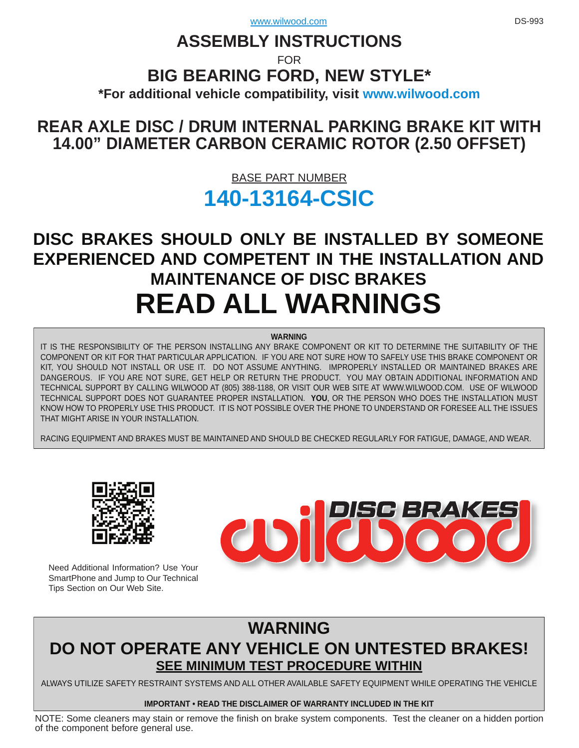# **ASSEMBLY INSTRUCTIONS**

FOR

## **BIG BEARING FORD, NEW STYLE\***

**\*For additional vehicle compatibility, visit<www.wilwood.com>**

## **[REAR AXLE DISC / DRUM INTERNAL PARKING BRAKE KIT WITH](www.wilwood.com) 14.00" DIAMETER CARBON CERAMIC ROTOR (2.50 OFFSET)**

## BASE PART NUMBER **[140-13164-CSIC](http://www.wilwood.com/Search/PartNoSearch.aspx?q=140-13164)**

# **DISC BRAKES SHOULD ONLY BE INSTALLED BY SOMEONE [EXPERIENCED AND COMPETENT IN THE INSTALLATION AND](www.wilwood.com)  MAINTENANCE OF DISC BRAKES READ ALL WARNINGS**

#### **WARNING**

IT IS THE RESPONSIBILITY OF THE PERSON INSTALLING ANY BRAKE COMPONENT OR KIT TO DETERMINE THE SUITABILITY OF THE COMPONENT OR KIT FOR THAT PARTICULAR APPLICATION. IF YOU ARE NOT SURE HOW TO SAFELY USE THIS BRAKE COMPONENT OR KIT, YOU SHOULD NOT INSTALL OR USE IT. DO NOT ASSUME ANYTHING. IMPROPERLY INSTALLED OR MAINTAINED BRAKES ARE [DANGEROUS. IF YOU ARE NOT SURE, GET HELP OR RETURN THE PRODUCT. YOU MAY OBTAIN ADDITIONAL INFORMATION AND](www.wilwood.com)  TECHNICAL SUPPORT BY CALLING WILWOOD AT (805) 388-1188, OR VISIT OUR WEB SITE AT WWW.WILWOOD.COM. USE OF WILWOOD TECHNICAL SUPPORT DOES NOT GUARANTEE PROPER INSTALLATION. **YOU**, OR THE PERSON WHO DOES THE INSTALLATION MUST KNOW HOW TO PROPERLY USE THIS PRODUCT. IT IS NOT POSSIBLE OVER THE PHONE TO UNDERSTAND OR FORESEE ALL THE ISSUES THAT MIGHT ARISE IN YOUR INSTALLATION.

RACING EQUIPMENT AND BRAKES MUST BE MAINTAINED AND SHOULD BE CHECKED REGULARLY FOR FATIGUE, DAMAGE, AND WEAR.



Need Additional Information? Use Your SmartPhone and Jump to Our Technical Tips Section on Our Web Site.



## **WARNING [DO NOT OPERATE ANY VEHICLE ON UNTESTED BRAKES!](www.wilwood.com) SEE MINIMUM TEST PROCEDURE WITHIN**

ALWAYS UTILIZE SAFETY RESTRAINT SYSTEMS AND ALL OTHER AVAILABLE SAFETY EQUIPMENT WHILE OPERATING THE VEHICLE

### **IMPORTANT • READ THE DISCLAIMER OF WARRANTY INCLUDED IN THE KIT**

[NOTE: Some cleaners may stain or remove the finish on brake system components. Test the cleaner on a hidden portion](www.wilwood.com) of the component before general use.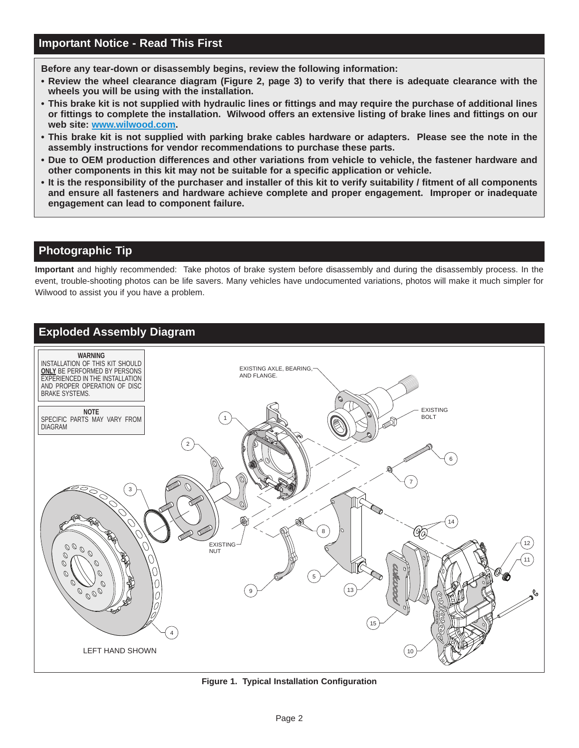**Before any tear-down or disassembly begins, review the following information:**

- **Review the wheel clearance diagram (Figure 2, page 3) to verify that there is adequate clearance with the wheels you will be using with the installation.**
- **[This brake kit is not supplied with hydraulic lines or fittings and may require the purchase of additional lines](www.wilwood.com) or fittings to complete the installation. Wilwood offers an extensive listing of brake lines and fittings on our web site: www.wilwood.com.**
- **This brake kit is not supplied with parking brake cables hardware or adapters. Please see the note in the assembly instructions for vendor recommendations to purchase these parts.**
- **Due to OEM production differences and other variations from vehicle to vehicle, the fastener hardware and other components in this kit may not be suitable for a specific application or vehicle.**
- **It is the responsibility of the purchaser and installer of this kit to verify suitability / fitment of all components and ensure all fasteners and hardware achieve complete and proper engagement. Improper or inadequate engagement can lead to component failure.**

## **Photographic Tip**

**Important** and highly recommended: Take photos of brake system before disassembly and during the disassembly process. In the [event, trouble-shooting photos can be life savers. Many vehicles have undocumented variations, photos will make it much simpler for](www.wilwood.com) Wilwood to assist you if you have a problem.



**[Figure 1. Typical Installation Configuration](www.wilwood.com)**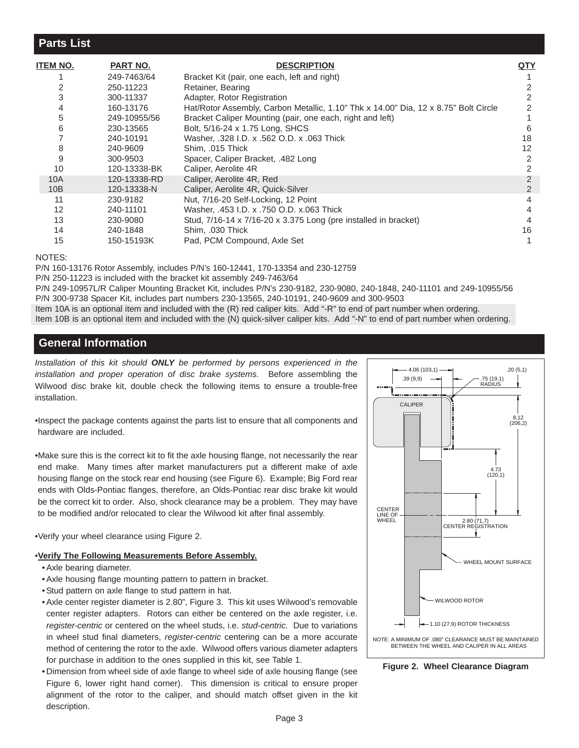### **Parts List**

| <b>ITEM NO.</b> | PART NO.     | <b>DESCRIPTION</b>                                                                  | QTY                                                       |  |
|-----------------|--------------|-------------------------------------------------------------------------------------|-----------------------------------------------------------|--|
|                 | 249-7463/64  | Bracket Kit (pair, one each, left and right)                                        |                                                           |  |
| 2               | 250-11223    | Retainer, Bearing                                                                   |                                                           |  |
| 3               | 300-11337    | Adapter, Rotor Registration                                                         |                                                           |  |
| 4               | 160-13176    | Hat/Rotor Assembly, Carbon Metallic, 1.10" Thk x 14.00" Dia, 12 x 8.75" Bolt Circle |                                                           |  |
| 5               | 249-10955/56 |                                                                                     |                                                           |  |
| 6               | 230-13565    | Bolt, 5/16-24 x 1.75 Long, SHCS                                                     | 6                                                         |  |
|                 | 240-10191    | Washer, .328 I.D. x .562 O.D. x .063 Thick                                          | 18                                                        |  |
| 8               | 240-9609     | Shim. .015 Thick                                                                    | 12                                                        |  |
| 9               | 300-9503     | Spacer, Caliper Bracket, .482 Long                                                  | 2                                                         |  |
| 10              | 120-13338-BK | Caliper, Aerolite 4R                                                                |                                                           |  |
| 10A             | 120-13338-RD | Caliper, Aerolite 4R, Red                                                           |                                                           |  |
| 10B             | 120-13338-N  | Caliper, Aerolite 4R, Quick-Silver                                                  |                                                           |  |
| 11              | 230-9182     | Nut, 7/16-20 Self-Locking, 12 Point                                                 | 4                                                         |  |
| 12              | 240-11101    | Washer, .453 I.D. x .750 O.D. x.063 Thick                                           | 4                                                         |  |
| 13              | 230-9080     | Stud, 7/16-14 x 7/16-20 x 3.375 Long (pre installed in bracket)                     |                                                           |  |
| 14              | 240-1848     | Shim, .030 Thick                                                                    | 16                                                        |  |
| 15              | 150-15193K   | Pad, PCM Compound, Axle Set                                                         |                                                           |  |
|                 |              |                                                                                     | Bracket Caliper Mounting (pair, one each, right and left) |  |

#### NOTES:

P/N 160-13176 Rotor Assembly, includes P/N's 160-12441, 170-13354 and 230-12759

P/N 250-11223 is included with the bracket kit assembly 249-7463/64

[P/N 249-10957L/R Caliper Mounting Bracket Kit, includes P/N's 230-9182, 230-9080, 240-1848, 240-11101 and 249-10955/56](www.wilwood.com) P/N 300-9738 Spacer Kit, includes part numbers 230-13565, 240-10191, 240-9609 and 300-9503

Item 10A is an optional item and included with the (R) red caliper kits. Add "-R" to end of part number when ordering.

Item 10B is an optional item and included with the (N) quick-silver caliper kits. Add "-N" to end of part number when ordering.

## **General Information**

*Installation of this kit should ONLY be performed by persons experienced in the installation and proper operation of disc brake systems.* Before assembling the Wilwood disc brake kit, double check the following items to ensure a trouble-free installation.

•Inspect the package contents against the parts list to ensure that all components and hardware are included.

[•Make sure this is the correct kit to fit the axle housing flange, not necessarily the rear](www.wilwood.com) end make. Many times after market manufacturers put a different make of axle housing flange on the stock rear end housing (see Figure 6). Example; Big Ford rear ends with Olds-Pontiac flanges, therefore, an Olds-Pontiac rear disc brake kit would be the correct kit to order. Also, shock clearance may be a problem. They may have to be modified and/or relocated to clear the Wilwood kit after final assembly.

•Verify your wheel clearance using Figure 2.

#### •**Verify The Following Measurements Before Assembly.**

- Axle bearing diameter.
- Axle housing flange mounting pattern to pattern in bracket.
- Stud pattern on axle flange to stud pattern in hat.
- Axle center register diameter is 2.80", Figure 3. This kit uses Wilwood's removable center register adapters. Rotors can either be centered on the axle register, i.e. *register-centric* or centered on the wheel studs, i.e. *stud-centric.* Due to variations in wheel stud final diameters, *register-centric* centering can be a more accurate method of centering the rotor to the axle. Wilwood offers various diameter adapters for purchase in addition to the ones supplied in this kit, see Table 1.
- Dimension from wheel side of axle flange to wheel side of axle housing flange (see Figure 6, lower right hand corner). This dimension is critical to ensure proper alignment of the rotor to the caliper, and should match offset given in the kit description.



**Figure 2. Wheel Clearance Diagram**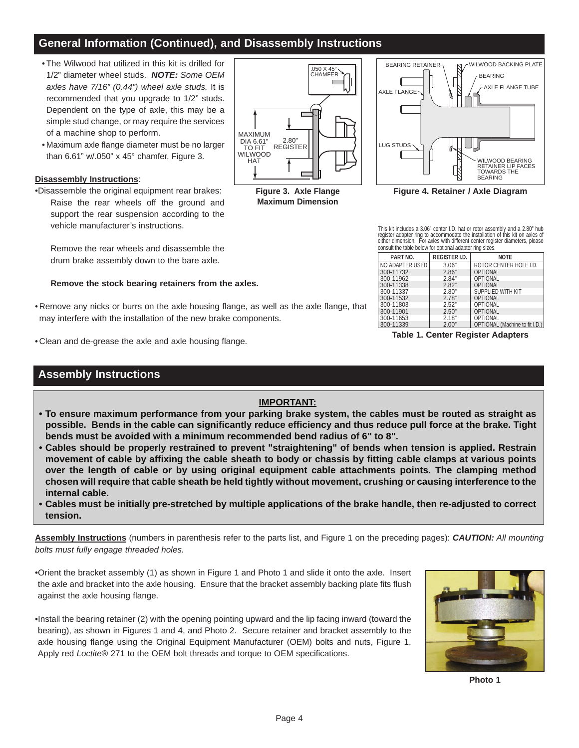## **General Information (Continued), and Disassembly Instructions**

- The Wilwood hat utilized in this kit is drilled for 1/2" diameter wheel studs. *NOTE: Some OEM axles have 7/16" (0.44") wheel axle studs.* It is recommended that you upgrade to 1/2" studs. Dependent on the type of axle, this may be a simple stud change, or may require the services of a machine shop to perform.
- Maximum axle flange diameter must be no larger than 6.61" w/.050" x 45° chamfer, Figure 3.

#### **Disassembly Instructions**:

•Disassemble the original equipment rear brakes: Raise the rear wheels off the ground and support the rear suspension according to the vehicle manufacturer's instructions.

Remove the rear wheels and disassemble the drum brake assembly down to the bare axle.

#### **Remove the stock bearing retainers from the axles.**

- Remove any nicks or burrs on the axle housing flange, as well as the axle flange, that may interfere with the installation of the new brake components.
- Clean and de-grease the axle and axle housing flange.

## **Assembly Instructions**

#### **IMPORTANT:**

- **To ensure maximum performance from your parking brake system, the cables must be routed as straight as possible. Bends in the cable can significantly reduce efficiency and thus reduce pull force at the brake. Tight bends must be avoided with a minimum recommended bend radius of 6" to 8".**
- **[Cables should be properly restrained to prevent "straightening" of bends when tension is applied. Restrain](www.wilwood.com)  movement of cable by affixing the cable sheath to body or chassis by fitting cable clamps at various points over the length of cable or by using original equipment cable attachments points. The clamping method chosen will require that cable sheath be held tightly without movement, crushing or causing interference to the internal cable.**
- **Cables must be initially pre-stretched by multiple applications of the brake handle, then re-adjusted to correct tension.**

**Assembly Instructions** (numbers in parenthesis refer to the parts list, and Figure 1 on the preceding pages): *CAUTION: All mounting bolts must fully engage threaded holes.*

•Orient the bracket assembly (1) as shown in Figure 1 and Photo 1 and slide it onto the axle. Insert the axle and bracket into the axle housing. Ensure that the bracket assembly backing plate fits flush against the axle housing flange.

•Install the bearing retainer (2) with the opening pointing upward and the lip facing inward (toward the bearing), as shown in Figures 1 and 4, and Photo 2. Secure retainer and bracket assembly to the axle housing flange using the Original Equipment Manufacturer (OEM) bolts and nuts, Figure 1. Apply red *Loctite*® 271 to the OEM bolt threads and torque to OEM specifications.



**PART NO. REGISTER I.D. NOTE** 3.06" 2.86" ROTOR CENTER HOLE I.D. OPTIONAL

This kit includes a 3.06" center I.D. hat or rotor assembly and a 2.80" hub register adapter ring to accommodate the installation of this kit on axles of either dimension. For axles with different center register diameters, please

consult the table below for optional adapter ring sizes.

 $\mathbf{I}$ 

| .               | ………………… | .                              |
|-----------------|---------|--------------------------------|
| NO ADAPTER USED | 3.06"   | ROTOR CENTER HOLE I.D.         |
| 300-11732       | 2.86"   | <b>OPTIONAL</b>                |
| 300-11962       | 2.84"   | <b>OPTIONAL</b>                |
| 300-11338       | 2.82"   | <b>OPTIONAL</b>                |
| 300-11337       | 2.80"   | SUPPLIED WITH KIT              |
| 300-11532       | 2.78"   | <b>OPTIONAL</b>                |
| 300-11803       | 2.52"   | OPTIONAL                       |
| 300-11901       | 2.50"   | <b>OPTIONAL</b>                |
| 300-11653       | 2.18"   | OPTIONAL                       |
| 300-11339       | 2.00"   | OPTIONAL (Machine to fit I.D.) |

**Table 1. Center Register Adapters**



**Maximum Dimension**

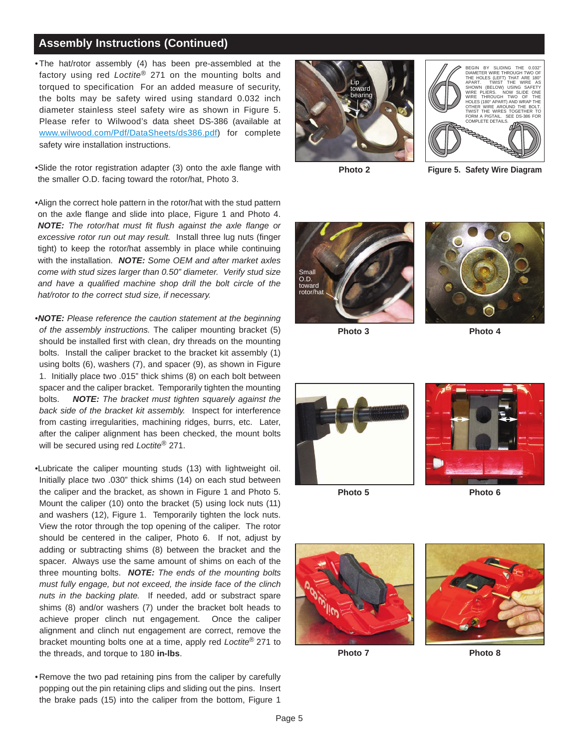### **Assembly Instructions (Continued)**

• The hat/rotor assembly (4) has been pre-assembled at the factory using red *Loctite*® 271 on the mounting bolts and torqued to specification For an added measure of security, the bolts may be safety wired using standard 0.032 inch diameter stainless steel safety wire as shown in Figure 5. Please refer to Wilwood's data sheet DS-386 (available at www.wilwood.com/Pdf/DataSheets/ds386.pdf) for complete safety wire installation instructions.

•Slide the rotor registration adapter (3) onto the axle flange with the smaller O.D. facing toward the rotor/hat, Photo 3.

•Align the correct hole pattern in the rotor/hat with the stud pattern on the axle flange and slide into place, Figure 1 and Photo 4. *NOTE: The rotor/hat must fit flush against the axle flange or excessive rotor run out may result.* Install three lug nuts (finger tight) to keep the rotor/hat assembly in place while continuing with the installation. *NOTE: Some OEM and after market axles come with stud sizes larger than 0.50" diameter. Verify stud size and have a qualified machine shop drill the bolt circle of the hat/rotor to the correct stud size, if necessary.*

- •*NOTE: Please reference the caution statement at the beginning of the assembly instructions.* The caliper mounting bracket (5) should be installed first with clean, dry threads on the mounting bolts. Install the caliper bracket to the bracket kit assembly (1) using bolts (6), washers (7), and spacer (9), as shown in Figure 1. Initially place two .015" thick shims (8) on each bolt between spacer and the caliper bracket. Temporarily tighten the mounting bolts. *NOTE: The bracket must tighten squarely against the back side of the bracket kit assembly.* Inspect for interference from casting irregularities, machining ridges, burrs, etc. Later, after the caliper alignment has been checked, the mount bolts will be secured using red *Loctite*® 271.
- •Lubricate the caliper mounting studs (13) with lightweight oil. Initially place two .030" thick shims (14) on each stud between the caliper and the bracket, as shown in Figure 1 and Photo 5. Mount the caliper (10) onto the bracket (5) using lock nuts (11) and washers (12), Figure 1. Temporarily tighten the lock nuts. View the rotor through the top opening of the caliper. The rotor should be centered in the caliper, Photo 6. If not, adjust by adding or subtracting shims (8) between the bracket and the spacer. Always use the same amount of shims on each of the three mounting bolts. *NOTE: The ends of the mounting bolts must fully engage, but not exceed, the inside face of the clinch nuts in the backing plate.* If needed, add or substract spare shims (8) and/or washers (7) under the bracket bolt heads to achieve proper clinch nut engagement. Once the caliper alignment and clinch nut engagement are correct, remove the bracket mounting bolts one at a time, apply red *Loctite*® 271 to the threads, and torque to 180 **in-lbs**.
- Remove the two pad retaining pins from the caliper by carefully popping out the pin retaining clips and sliding out the pins. Insert the brake pads (15) into the caliper from the bottom, Figure 1





**Photo 2**

**Figure 5. Safety Wire Diagram**



**Photo 3**



**Photo 4**





**Photo 5**

**Photo 6**



**Photo 7 Photo 8**

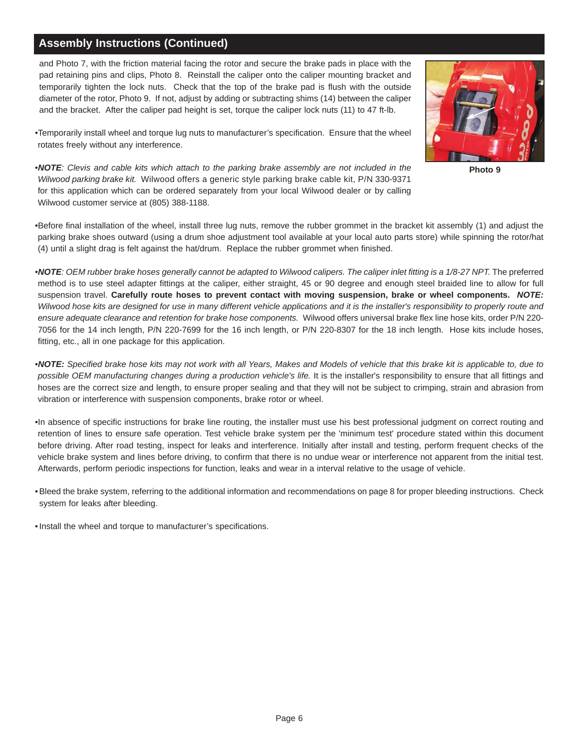## **Assembly Instructions (Continued)**

and Photo 7, with the friction material facing the rotor and secure the brake pads in place with the pad retaining pins and clips, Photo 8. Reinstall the caliper onto the caliper mounting bracket and temporarily tighten the lock nuts. Check that the top of the brake pad is flush with the outside diameter of the rotor, Photo 9. If not, adjust by adding or subtracting shims (14) between the caliper and the bracket. After the caliper pad height is set, torque the caliper lock nuts (11) to 47 ft-lb.

•Temporarily install wheel and torque lug nuts to manufacturer's specification. Ensure that the wheel rotates freely without any interference.

•*NOTE: Clevis and cable kits which attach to the parking brake assembly are not included in the Wilwood parking brake kit.* Wilwood offers a generic style parking brake cable kit, P/N 330-9371 for this application which can be ordered separately from your local Wilwood dealer or by calling Wilwood customer service at (805) 388-1188.



**Photo 9**

•Before final installation of the wheel, install three lug nuts, remove the rubber grommet in the bracket kit assembly (1) and adjust the parking brake shoes outward (using a drum shoe adjustment tool available at your local auto parts store) while spinning the rotor/hat (4) until a slight drag is felt against the hat/drum. Replace the rubber grommet when finished.

•*NOTE: OEM rubber brake hoses generally cannot be adapted to Wilwood calipers. The caliper inlet fitting is a 1/8-27 NPT.* The preferred method is to use steel adapter fittings at the caliper, either straight, 45 or 90 degree and enough steel braided line to allow for full suspension travel. **Carefully route hoses to prevent contact with moving suspension, brake or wheel components.** *NOTE: Wilwood hose kits are designed for use in many different vehicle applications and it is the installer's responsibility to properly route and ensure adequate clearance and retention for brake hose components.* Wilwood offers universal brake flex line hose kits, order P/N 220- 7056 for the 14 inch length, P/N 220-7699 for the 16 inch length, or P/N 220-8307 for the 18 inch length. Hose kits include hoses, fitting, etc., all in one package for this application.

•*NOTE: Specified brake hose kits may not work with all Years, Makes and Models of vehicle that this brake kit is applicable to, due to possible OEM manufacturing changes during a production vehicle's life.* It is the installer's responsibility to ensure that all fittings and hoses are the correct size and length, to ensure proper sealing and that they will not be subject to crimping, strain and abrasion from vibration or interference with suspension components, brake rotor or wheel.

[•In absence of specific instructions for brake line routing, the installer must use his best professional judgment on correct routing and](www.wilwood.com) retention of lines to ensure safe operation. Test vehicle brake system per the 'minimum test' procedure stated within this document before driving. After road testing, inspect for leaks and interference. Initially after install and testing, perform frequent checks of the vehicle brake system and lines before driving, to confirm that there is no undue wear or interference not apparent from the initial test. Afterwards, perform periodic inspections for function, leaks and wear in a interval relative to the usage of vehicle.

• Bleed the brake system, referring to the additional information and recommendations on page 8 for proper bleeding instructions. Check system for leaks after bleeding.

• Install the wheel and torque to manufacturer's specifications.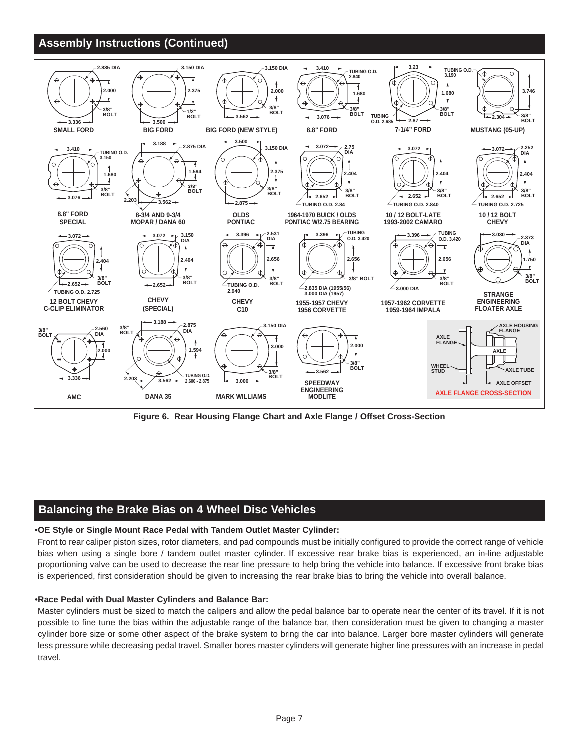## **Assembly Instructions (Continued)**



**[Figure 6. Rear Housing Flange Chart and Axle Flange / Offset Cross-Section](www.wilwood.com)**

## **Balancing the Brake Bias on 4 Wheel Disc Vehicles**

#### •**OE Style or Single Mount Race Pedal with Tandem Outlet Master Cylinder:**

[Front to rear caliper piston sizes, rotor diameters, and pad compounds must be initially configured to provide the correct range of vehicle](www.wilwood.com) bias when using a single bore / tandem outlet master cylinder. If excessive rear brake bias is experienced, an in-line adjustable proportioning valve can be used to decrease the rear line pressure to help bring the vehicle into balance. If excessive front brake bias is experienced, first consideration should be given to increasing the rear brake bias to bring the vehicle into overall balance.

#### •**Race Pedal with Dual Master Cylinders and Balance Bar:**

Master cylinders must be sized to match the calipers and allow the pedal balance bar to operate near the center of its travel. If it is not possible to fine tune the bias within the adjustable range of the balance bar, then consideration must be given to changing a master cylinder bore size or some other aspect of the brake system to bring the car into balance. Larger bore master cylinders will generate less pressure while decreasing pedal travel. Smaller bores master cylinders will generate higher line pressures with an increase in pedal travel.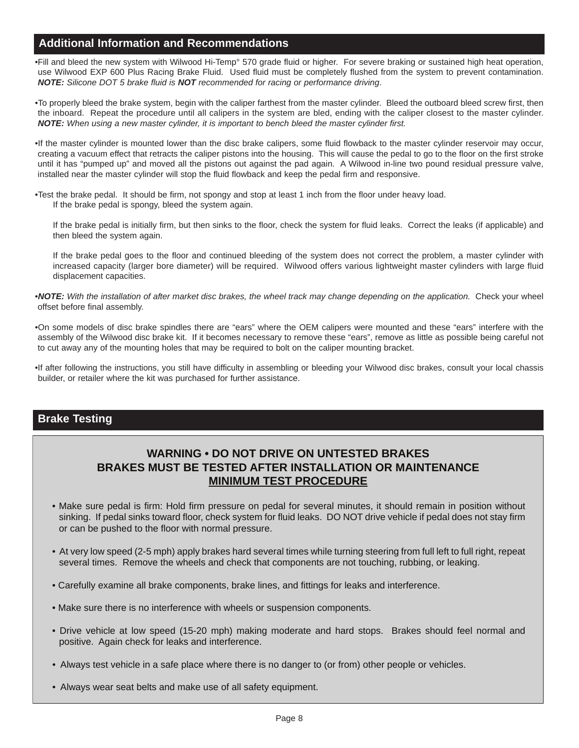## **Additional Information and Recommendations**

•Fill and bleed the new system with Wilwood Hi-Temp° 570 grade fluid or higher. For severe braking or sustained high heat operation, use Wilwood EXP 600 Plus Racing Brake Fluid. Used fluid must be completely flushed from the system to prevent contamination. *NOTE: Silicone DOT 5 brake fluid is NOT recommended for racing or performance driving*.

•To properly bleed the brake system, begin with the caliper farthest from the master cylinder. Bleed the outboard bleed screw first, then the inboard. Repeat the procedure until all calipers in the system are bled, ending with the caliper closest to the master cylinder. *NOTE: When using a new master cylinder, it is important to bench bleed the master cylinder first.*

[•If the master cylinder is mounted lower than the disc brake calipers, some fluid flowback to the master cylinder reservoir may occur,](www.wilwood.com) creating a vacuum effect that retracts the caliper pistons into the housing. This will cause the pedal to go to the floor on the first stroke until it has "pumped up" and moved all the pistons out against the pad again. A Wilwood in-line two pound residual pressure valve, installed near the master cylinder will stop the fluid flowback and keep the pedal firm and responsive.

•Test the brake pedal. It should be firm, not spongy and stop at least 1 inch from the floor under heavy load. If the brake pedal is spongy, bleed the system again.

If the brake pedal is initially firm, but then sinks to the floor, check the system for fluid leaks. Correct the leaks (if applicable) and then bleed the system again.

If the brake pedal goes to the floor and continued bleeding of the system does not correct the problem, a master cylinder with increased capacity (larger bore diameter) will be required. Wilwood offers various lightweight master cylinders with large fluid displacement capacities.

•*NOTE: With the installation of after market disc brakes, the wheel track may change depending on the application.* Check your wheel offset before final assembly.

•On some models of disc brake spindles there are "ears" where the OEM calipers were mounted and these "ears" interfere with the assembly of the Wilwood disc brake kit. If it becomes necessary to remove these "ears", remove as little as possible being careful not to cut away any of the mounting holes that may be required to bolt on the caliper mounting bracket.

•If after following the instructions, you still have difficulty in assembling or bleeding your Wilwood disc brakes, consult your local chassis builder, or retailer where the kit was purchased for further assistance.

### **Brake Testing**

## **WARNING • DO NOT DRIVE ON UNTESTED BRAKES BRAKES MUST BE TESTED AFTER INSTALLATION OR MAINTENANCE MINIMUM TEST PROCEDURE**

- Make sure pedal is firm: Hold firm pressure on pedal for several minutes, it should remain in position without sinking. If pedal sinks toward floor, check system for fluid leaks. DO NOT drive vehicle if pedal does not stay firm or can be pushed to the floor with normal pressure.
- [At very low speed \(2-5 mph\) apply brakes hard several times while turning steering from full left to full right, repeat](www.wilwood.com)  several times. Remove the wheels and check that components are not touching, rubbing, or leaking.
- Carefully examine all brake components, brake lines, and fittings for leaks and interference.
- Make sure there is no interference with wheels or suspension components.
- Drive vehicle at low speed (15-20 mph) making moderate and hard stops. Brakes should feel normal and positive. Again check for leaks and interference.
- Always test vehicle in a safe place where there is no danger to (or from) other people or vehicles.
- Always wear seat belts and make use of all safety equipment.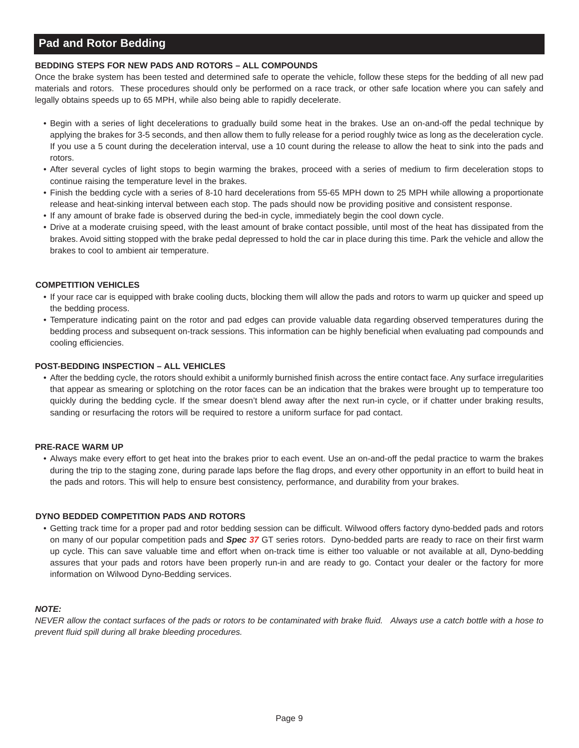## **Pad and Rotor Bedding**

#### **BEDDING STEPS FOR NEW PADS AND ROTORS – ALL COMPOUNDS**

Once the brake system has been tested and determined safe to operate the vehicle, follow these steps for the bedding of all new pad materials and rotors. These procedures should only be performed on a race track, or other safe location where you can safely and legally obtains speeds up to 65 MPH, while also being able to rapidly decelerate.

- Begin with a series of light decelerations to gradually build some heat in the brakes. Use an on-and-off the pedal technique by applying the brakes for 3-5 seconds, and then allow them to fully release for a period roughly twice as long as the deceleration cycle. If you use a 5 count during the deceleration interval, use a 10 count during the release to allow the heat to sink into the pads and rotors.
- After several cycles of light stops to begin warming the brakes, proceed with a series of medium to firm deceleration stops to continue raising the temperature level in the brakes.
- Finish the bedding cycle with a series of 8-10 hard decelerations from 55-65 MPH down to 25 MPH while allowing a proportionate release and heat-sinking interval between each stop. The pads should now be providing positive and consistent response.
- If any amount of brake fade is observed during the bed-in cycle, immediately begin the cool down cycle.
- Drive at a moderate cruising speed, with the least amount of brake contact possible, until most of the heat has dissipated from the brakes. Avoid sitting stopped with the brake pedal depressed to hold the car in place during this time. Park the vehicle and allow the brakes to cool to ambient air temperature.

#### **COMPETITION VEHICLES**

- If your race car is equipped with brake cooling ducts, blocking them will allow the pads and rotors to warm up quicker and speed up the bedding process.
- Temperature indicating paint on the rotor and pad edges can provide valuable data regarding observed temperatures during the bedding process and subsequent on-track sessions. This information can be highly beneficial when evaluating pad compounds and cooling efficiencies.

#### **POST-BEDDING INSPECTION – ALL VEHICLES**

• After the bedding cycle, the rotors should exhibit a uniformly burnished finish across the entire contact face. Any surface irregularities that appear as smearing or splotching on the rotor faces can be an indication that the brakes were brought up to temperature too quickly during the bedding cycle. If the smear doesn't blend away after the next run-in cycle, or if chatter under braking results, sanding or resurfacing the rotors will be required to restore a uniform surface for pad contact.

#### **PRE-RACE WARM UP**

• Always make every effort to get heat into the brakes prior to each event. Use an on-and-off the pedal practice to warm the brakes during the trip to the staging zone, during parade laps before the flag drops, and every other opportunity in an effort to build heat in the pads and rotors. This will help to ensure best consistency, performance, and durability from your brakes.

#### **DYNO BEDDED COMPETITION PADS AND ROTORS**

• Getting track time for a proper pad and rotor bedding session can be difficult. Wilwood offers factory dyno-bedded pads and rotors on many of our popular competition pads and *Spec 37* GT series rotors. Dyno-bedded parts are ready to race on their first warm up cycle. This can save valuable time and effort when on-track time is either too valuable or not available at all, Dyno-bedding assures that your pads and rotors have been properly run-in and are ready to go. Contact your dealer or the factory for more information on Wilwood Dyno-Bedding services.

#### *NOTE:*

*[NEVER allow the contact surfaces of the pads or rotors to be contaminated with brake fluid. Always use a catch bottle with a hose to](www.wilwood.com) prevent fluid spill during all brake bleeding procedures.*